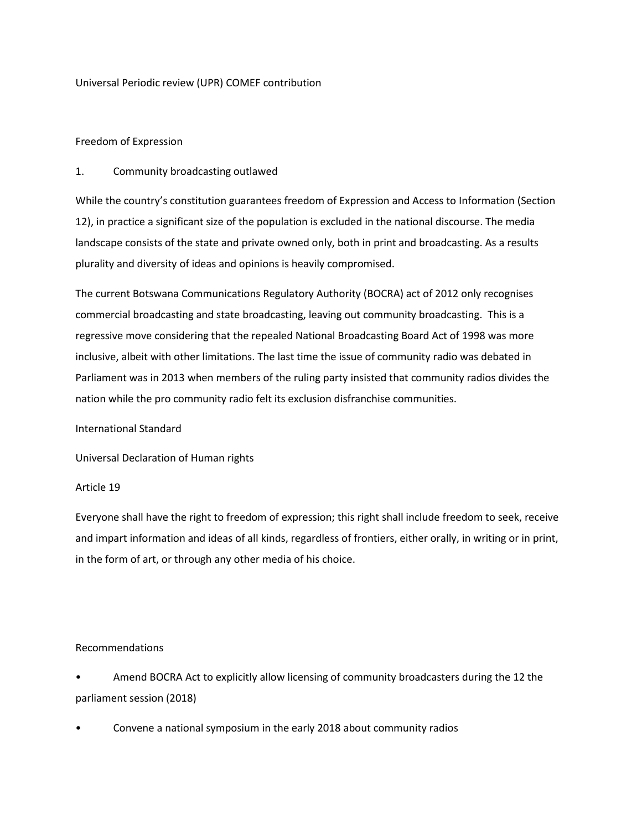Universal Periodic review (UPR) COMEF contribution

# Freedom of Expression

# 1. Community broadcasting outlawed

While the country's constitution guarantees freedom of Expression and Access to Information (Section 12), in practice a significant size of the population is excluded in the national discourse. The media landscape consists of the state and private owned only, both in print and broadcasting. As a results plurality and diversity of ideas and opinions is heavily compromised.

The current Botswana Communications Regulatory Authority (BOCRA) act of 2012 only recognises commercial broadcasting and state broadcasting, leaving out community broadcasting. This is a regressive move considering that the repealed National Broadcasting Board Act of 1998 was more inclusive, albeit with other limitations. The last time the issue of community radio was debated in Parliament was in 2013 when members of the ruling party insisted that community radios divides the nation while the pro community radio felt its exclusion disfranchise communities.

### International Standard

Universal Declaration of Human rights

### Article 19

Everyone shall have the right to freedom of expression; this right shall include freedom to seek, receive and impart information and ideas of all kinds, regardless of frontiers, either orally, in writing or in print, in the form of art, or through any other media of his choice.

### Recommendations

• Amend BOCRA Act to explicitly allow licensing of community broadcasters during the 12 the parliament session (2018)

• Convene a national symposium in the early 2018 about community radios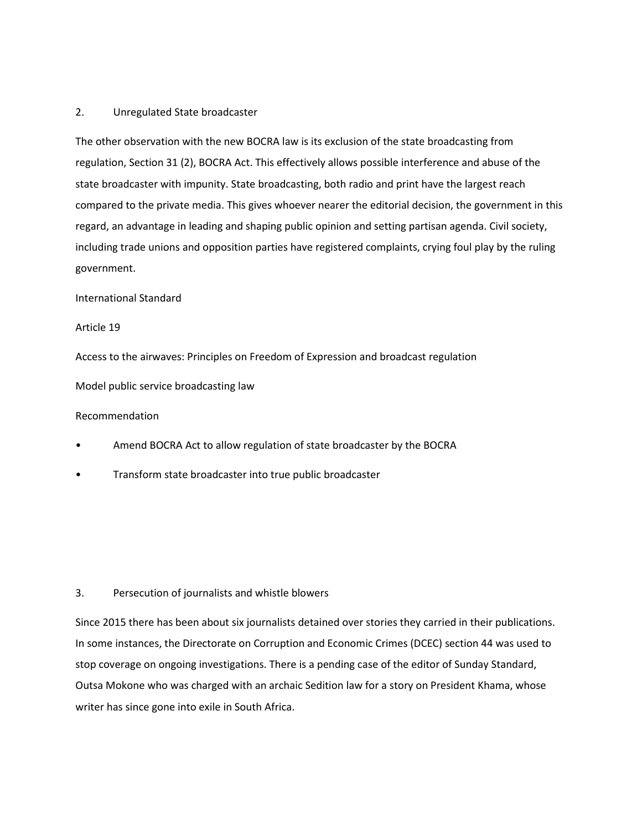## 2. Unregulated State broadcaster

The other observation with the new BOCRA law is its exclusion of the state broadcasting from regulation, Section 31 (2), BOCRA Act. This effectively allows possible interference and abuse of the state broadcaster with impunity. State broadcasting, both radio and print have the largest reach compared to the private media. This gives whoever nearer the editorial decision, the government in this regard, an advantage in leading and shaping public opinion and setting partisan agenda. Civil society, including trade unions and opposition parties have registered complaints, crying foul play by the ruling government.

### International Standard

#### Article 19

Access to the airwaves: Principles on Freedom of Expression and broadcast regulation

Model public service broadcasting law

### Recommendation

- Amend BOCRA Act to allow regulation of state broadcaster by the BOCRA
- Transform state broadcaster into true public broadcaster

### 3. Persecution of journalists and whistle blowers

Since 2015 there has been about six journalists detained over stories they carried in their publications. In some instances, the Directorate on Corruption and Economic Crimes (DCEC) section 44 was used to stop coverage on ongoing investigations. There is a pending case of the editor of Sunday Standard, Outsa Mokone who was charged with an archaic Sedition law for a story on President Khama, whose writer has since gone into exile in South Africa.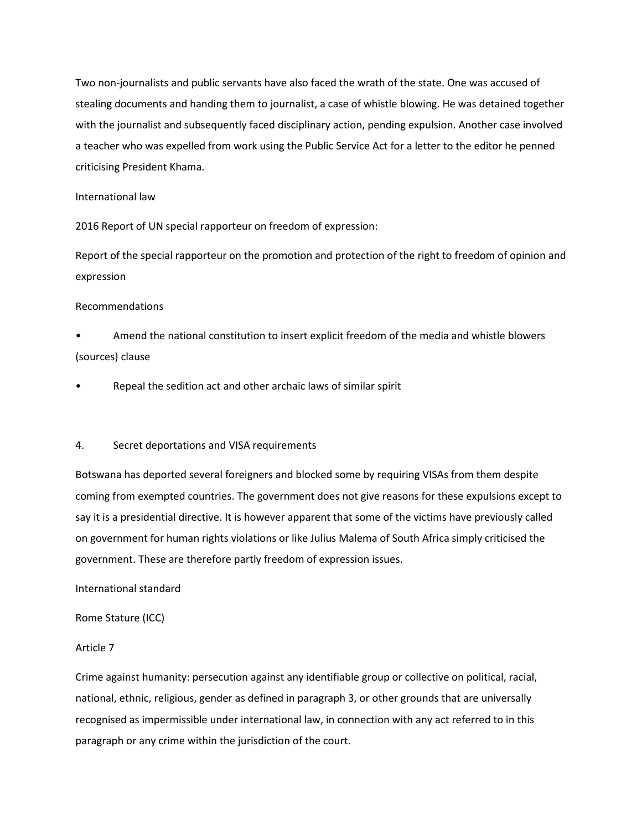Two non-journalists and public servants have also faced the wrath of the state. One was accused of stealing documents and handing them to journalist, a case of whistle blowing. He was detained together with the journalist and subsequently faced disciplinary action, pending expulsion. Another case involved a teacher who was expelled from work using the Public Service Act for a letter to the editor he penned criticising President Khama.

#### International law

2016 Report of UN special rapporteur on freedom of expression:

Report of the special rapporteur on the promotion and protection of the right to freedom of opinion and expression

### Recommendations

- Amend the national constitution to insert explicit freedom of the media and whistle blowers (sources) clause
- Repeal the sedition act and other archaic laws of similar spirit

### 4. Secret deportations and VISA requirements

Botswana has deported several foreigners and blocked some by requiring VISAs from them despite coming from exempted countries. The government does not give reasons for these expulsions except to say it is a presidential directive. It is however apparent that some of the victims have previously called on government for human rights violations or like Julius Malema of South Africa simply criticised the government. These are therefore partly freedom of expression issues.

### International standard

Rome Stature (ICC)

### Article 7

Crime against humanity: persecution against any identifiable group or collective on political, racial, national, ethnic, religious, gender as defined in paragraph 3, or other grounds that are universally recognised as impermissible under international law, in connection with any act referred to in this paragraph or any crime within the jurisdiction of the court.